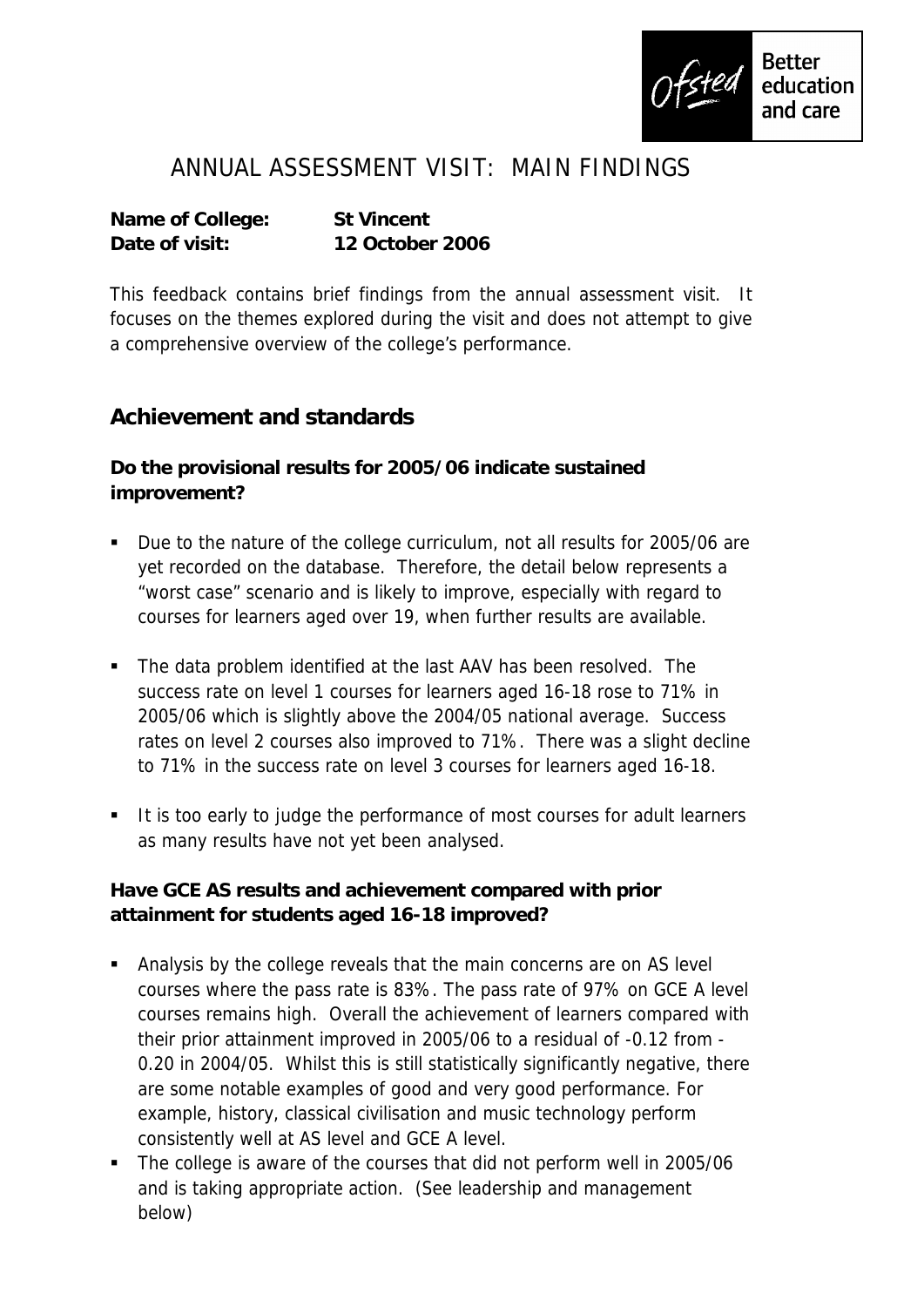

## ANNUAL ASSESSMENT VISIT: MAIN FINDINGS

**Name of College: St Vincent Date of visit: 12 October 2006**

This feedback contains brief findings from the annual assessment visit. It focuses on the themes explored during the visit and does not attempt to give a comprehensive overview of the college's performance.

## **Achievement and standards**

**Do the provisional results for 2005/06 indicate sustained improvement?**

- Due to the nature of the college curriculum, not all results for 2005/06 are yet recorded on the database. Therefore, the detail below represents a "worst case" scenario and is likely to improve, especially with regard to courses for learners aged over 19, when further results are available.
- The data problem identified at the last AAV has been resolved. The success rate on level 1 courses for learners aged 16-18 rose to 71% in 2005/06 which is slightly above the 2004/05 national average. Success rates on level 2 courses also improved to 71%. There was a slight decline to 71% in the success rate on level 3 courses for learners aged 16-18.
- It is too early to judge the performance of most courses for adult learners as many results have not yet been analysed.

**Have GCE AS results and achievement compared with prior attainment for students aged 16-18 improved?**

- Analysis by the college reveals that the main concerns are on AS level courses where the pass rate is 83%. The pass rate of 97% on GCE A level courses remains high. Overall the achievement of learners compared with their prior attainment improved in 2005/06 to a residual of -0.12 from - 0.20 in 2004/05. Whilst this is still statistically significantly negative, there are some notable examples of good and very good performance. For example, history, classical civilisation and music technology perform consistently well at AS level and GCE A level.
- The college is aware of the courses that did not perform well in 2005/06 and is taking appropriate action. (See leadership and management below)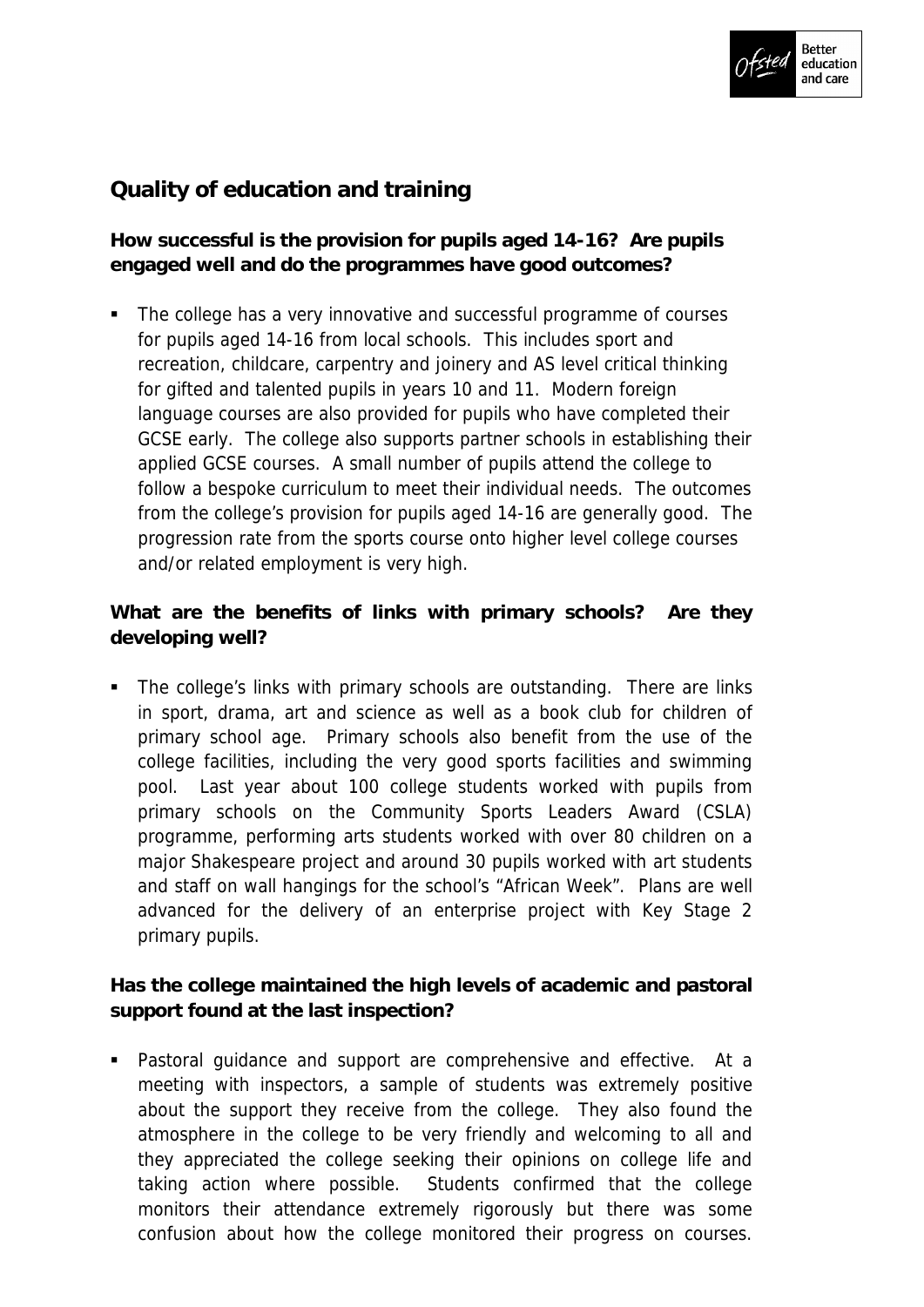

## **Quality of education and training**

**How successful is the provision for pupils aged 14-16? Are pupils engaged well and do the programmes have good outcomes?**

 The college has a very innovative and successful programme of courses for pupils aged 14-16 from local schools. This includes sport and recreation, childcare, carpentry and joinery and AS level critical thinking for gifted and talented pupils in years 10 and 11. Modern foreign language courses are also provided for pupils who have completed their GCSE early. The college also supports partner schools in establishing their applied GCSE courses. A small number of pupils attend the college to follow a bespoke curriculum to meet their individual needs. The outcomes from the college's provision for pupils aged 14-16 are generally good. The progression rate from the sports course onto higher level college courses and/or related employment is very high.

**What are the benefits of links with primary schools? Are they developing well?**

• The college's links with primary schools are outstanding. There are links in sport, drama, art and science as well as a book club for children of primary school age. Primary schools also benefit from the use of the college facilities, including the very good sports facilities and swimming pool. Last year about 100 college students worked with pupils from primary schools on the Community Sports Leaders Award (CSLA) programme, performing arts students worked with over 80 children on a major Shakespeare project and around 30 pupils worked with art students and staff on wall hangings for the school's "African Week". Plans are well advanced for the delivery of an enterprise project with Key Stage 2 primary pupils.

**Has the college maintained the high levels of academic and pastoral support found at the last inspection?**

 Pastoral guidance and support are comprehensive and effective. At a meeting with inspectors, a sample of students was extremely positive about the support they receive from the college. They also found the atmosphere in the college to be very friendly and welcoming to all and they appreciated the college seeking their opinions on college life and taking action where possible. Students confirmed that the college monitors their attendance extremely rigorously but there was some confusion about how the college monitored their progress on courses.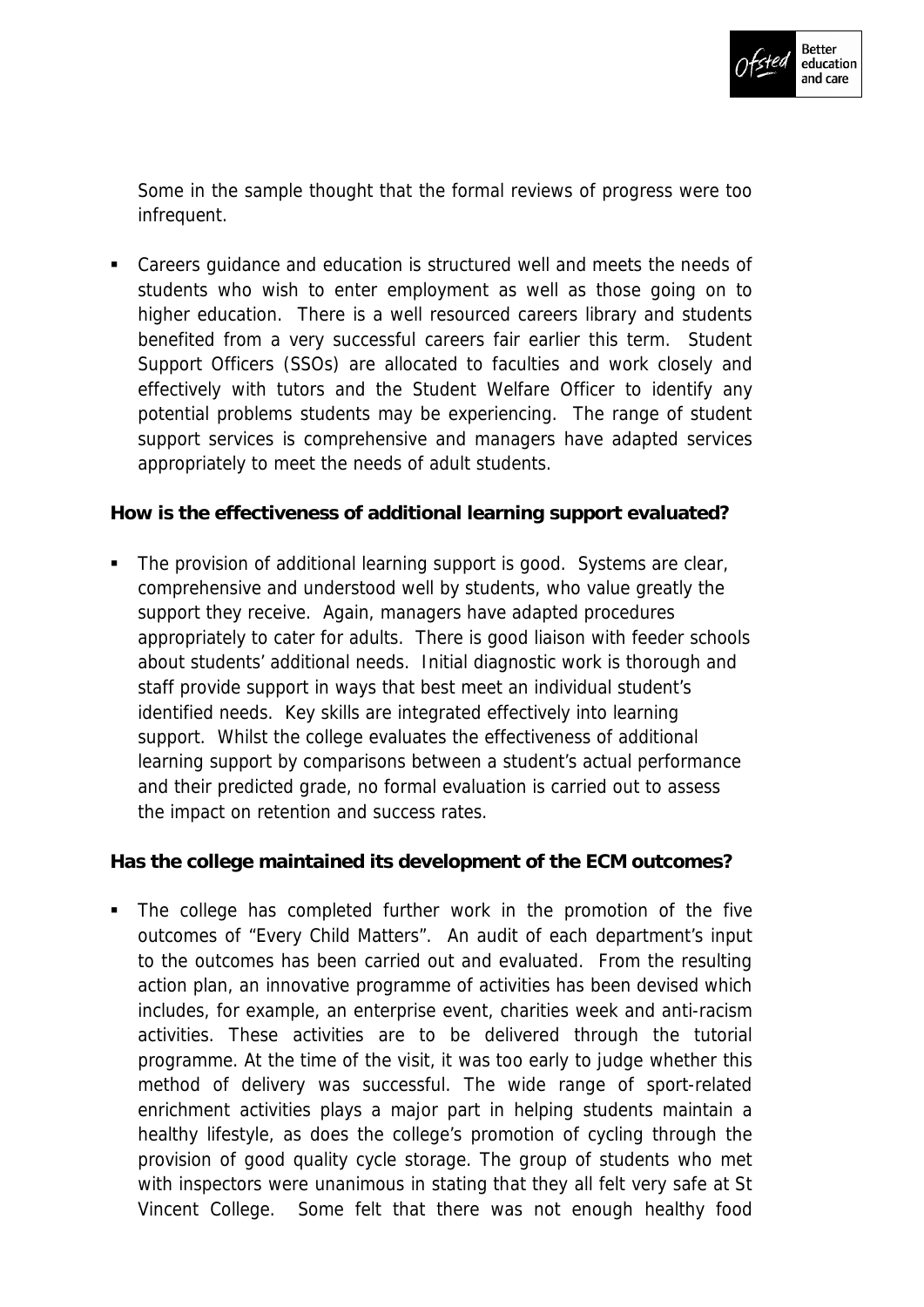

Some in the sample thought that the formal reviews of progress were too infrequent.

 Careers guidance and education is structured well and meets the needs of students who wish to enter employment as well as those going on to higher education. There is a well resourced careers library and students benefited from a very successful careers fair earlier this term. Student Support Officers (SSOs) are allocated to faculties and work closely and effectively with tutors and the Student Welfare Officer to identify any potential problems students may be experiencing. The range of student support services is comprehensive and managers have adapted services appropriately to meet the needs of adult students.

**How is the effectiveness of additional learning support evaluated?**

• The provision of additional learning support is good. Systems are clear, comprehensive and understood well by students, who value greatly the support they receive. Again, managers have adapted procedures appropriately to cater for adults. There is good liaison with feeder schools about students' additional needs. Initial diagnostic work is thorough and staff provide support in ways that best meet an individual student's identified needs. Key skills are integrated effectively into learning support. Whilst the college evaluates the effectiveness of additional learning support by comparisons between a student's actual performance and their predicted grade, no formal evaluation is carried out to assess the impact on retention and success rates.

**Has the college maintained its development of the ECM outcomes?**

 The college has completed further work in the promotion of the five outcomes of "Every Child Matters". An audit of each department's input to the outcomes has been carried out and evaluated. From the resulting action plan, an innovative programme of activities has been devised which includes, for example, an enterprise event, charities week and anti-racism activities. These activities are to be delivered through the tutorial programme. At the time of the visit, it was too early to judge whether this method of delivery was successful. The wide range of sport-related enrichment activities plays a major part in helping students maintain a healthy lifestyle, as does the college's promotion of cycling through the provision of good quality cycle storage. The group of students who met with inspectors were unanimous in stating that they all felt very safe at St Vincent College. Some felt that there was not enough healthy food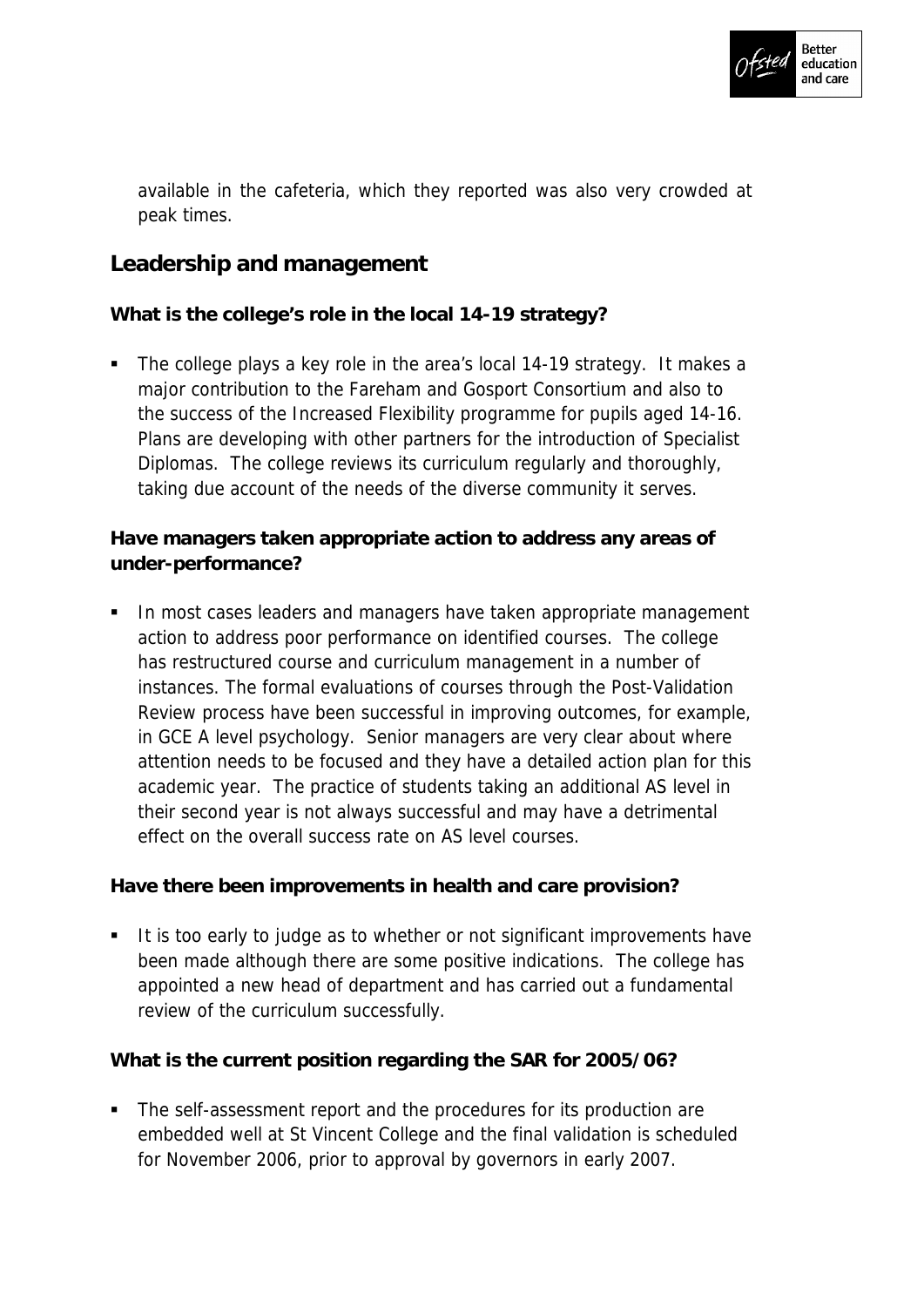

available in the cafeteria, which they reported was also very crowded at peak times.

## **Leadership and management**

**What is the college's role in the local 14-19 strategy?**

• The college plays a key role in the area's local 14-19 strategy. It makes a major contribution to the Fareham and Gosport Consortium and also to the success of the Increased Flexibility programme for pupils aged 14-16. Plans are developing with other partners for the introduction of Specialist Diplomas. The college reviews its curriculum regularly and thoroughly, taking due account of the needs of the diverse community it serves.

**Have managers taken appropriate action to address any areas of under-performance?**

In most cases leaders and managers have taken appropriate management action to address poor performance on identified courses. The college has restructured course and curriculum management in a number of instances. The formal evaluations of courses through the Post-Validation Review process have been successful in improving outcomes, for example, in GCE A level psychology. Senior managers are very clear about where attention needs to be focused and they have a detailed action plan for this academic year. The practice of students taking an additional AS level in their second year is not always successful and may have a detrimental effect on the overall success rate on AS level courses.

**Have there been improvements in health and care provision?**

It is too early to judge as to whether or not significant improvements have been made although there are some positive indications. The college has appointed a new head of department and has carried out a fundamental review of the curriculum successfully.

**What is the current position regarding the SAR for 2005/06?**

• The self-assessment report and the procedures for its production are embedded well at St Vincent College and the final validation is scheduled for November 2006, prior to approval by governors in early 2007.